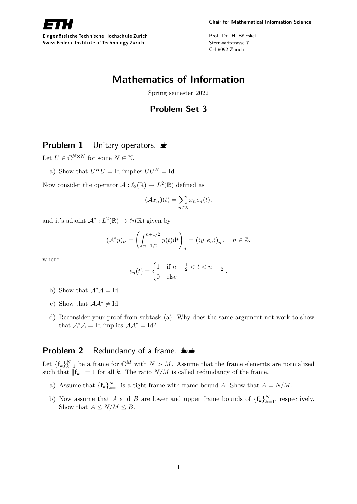

Eidgenössische Technische Hochschule Zürich Swiss Federal Institute of Technology Zurich

Prof. Dr. H. Bölcskei Sternwartstrasse 7 CH-8092 Zürich

# **Mathematics of Information**

Spring semester 2022

# **Problem Set 3**

# **Problem 1** Unitary operators.  $\triangleq$

Let  $U \in \mathbb{C}^{N \times N}$  for some  $N \in \mathbb{N}$ .

a) Show that  $U^H U = \text{Id}$  implies  $UU^H = \text{Id}$ .

Now consider the operator  $\mathcal{A}: \ell_2(\mathbb{R}) \to L^2(\mathbb{R})$  defined as

$$
(\mathcal{A}x_n)(t) = \sum_{n \in \mathbb{Z}} x_n e_n(t),
$$

and it's adjoint  $\mathcal{A}^* : L^2(\mathbb{R}) \to \ell_2(\mathbb{R})$  given by

$$
(\mathcal{A}^*y)_n = \left(\int_{n-1/2}^{n+1/2} y(t)dt\right)_n = (\langle y, e_n \rangle)_n, \quad n \in \mathbb{Z},
$$

where

$$
e_n(t) = \begin{cases} 1 & \text{if } n - \frac{1}{2} < t < n + \frac{1}{2} \\ 0 & \text{else} \end{cases}.
$$

- b) Show that  $\mathcal{A}^* \mathcal{A} = \mathrm{Id}$ .
- c) Show that  $\mathcal{A} \mathcal{A}^* \neq \text{Id}$ .
- d) Reconsider your proof from subtask (a). Why does the same argument not work to show that  $\mathcal{A}^* \mathcal{A} =$  Id implies  $\mathcal{A} \mathcal{A}^* =$  Id?

# **Problem 2** Redundancy of a frame.  $\frac{16}{100}$

Let  ${\{\mathbf{f}_k\}}_{k=1}^N$  be a frame for  $\mathbb{C}^M$  with  $N > M$ . Assume that the frame elements are normalized such that  $\|\mathbf{f}_k\| = 1$  for all *k*. The ratio  $N/M$  is called redundancy of the frame.

- a) Assume that  ${\{\mathbf{f}_k\}}_{k=1}^N$  is a tight frame with frame bound *A*. Show that  $A = N/M$ .
- b) Now assume that *A* and *B* are lower and upper frame bounds of  $\{\mathbf{f}_k\}_{k=1}^N$ , respectively. Show that  $A \leq N/M \leq B$ .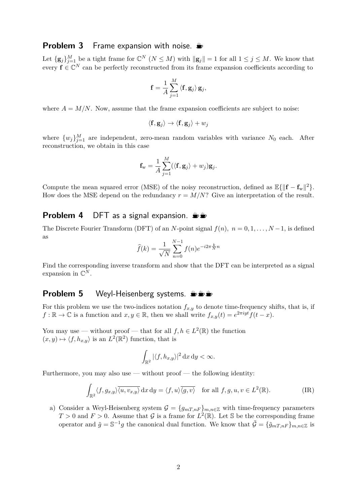## **Problem 3** Frame expansion with noise.

Let  ${\{\mathbf{g}_j\}}_{j=1}^M$  be a tight frame for  $\mathbb{C}^N$   $(N \leq M)$  with  $\|\mathbf{g}_j\| = 1$  for all  $1 \leq j \leq M$ . We know that every  $f \in \mathbb{C}^N$  can be perfectly reconstructed from its frame expansion coefficients according to

$$
\mathbf{f} = \frac{1}{A} \sum_{j=1}^{M} \langle \mathbf{f}, \mathbf{g}_j \rangle \mathbf{g}_j,
$$

where  $A = M/N$ . Now, assume that the frame expansion coefficients are subject to noise:

$$
\langle \mathbf{f}, \mathbf{g}_j \rangle \to \langle \mathbf{f}, \mathbf{g}_j \rangle + w_j
$$

where  $\{w_j\}_{j=1}^M$  are independent, zero-mean random variables with variance  $N_0$  each. After reconstruction, we obtain in this case

$$
\mathbf{f}_{\mathbf{w}} = \frac{1}{A} \sum_{j=1}^{M} (\langle \mathbf{f}, \mathbf{g}_j \rangle + w_j) \mathbf{g}_j.
$$

Compute the mean squared error (MSE) of the noisy reconstruction, defined as  $\mathbb{E}\{\|\mathbf{f} - \mathbf{f}_{w}\|^2\}$ . How does the MSE depend on the redundancy  $r = M/N$ ? Give an interpretation of the result.

## **Problem 4** DFT as a signal expansion.  $\psi$

The Discrete Fourier Transform (DFT) of an *N*-point signal  $f(n)$ ,  $n = 0, 1, \ldots, N-1$ , is defined as

$$
\hat{f}(k) = \frac{1}{\sqrt{N}} \sum_{n=0}^{N-1} f(n) e^{-i2\pi \frac{k}{N}n}
$$

Find the corresponding inverse transform and show that the DFT can be interpreted as a signal expansion in  $\mathbb{C}^N$ .

## **Problem 5** Weyl-Heisenberg systems.  $\mathbf{L}$

For this problem we use the two-indices notation  $f_{x,y}$  to denote time-frequency shifts, that is, if  $f: \mathbb{R} \to \mathbb{C}$  is a function and  $x, y \in \mathbb{R}$ , then we shall write  $f_{x,y}(t) = e^{2\pi i y t} f(t-x)$ .

You may use — without proof — that for all  $f, h \in L^2(\mathbb{R})$  the function  $(x, y) \mapsto \langle f, h_{x,y} \rangle$  is an  $L^2(\mathbb{R}^2)$  function, that is

$$
\int_{\mathbb{R}^2} |\langle f, h_{x,y} \rangle|^2 \, \mathrm{d}x \, \mathrm{d}y < \infty.
$$

Furthermore, you may also use  $-$  without proof  $-$  the following identity:

$$
\int_{\mathbb{R}^2} \langle f, g_{x,y} \rangle \overline{\langle u, v_{x,y} \rangle} \, dx \, dy = \langle f, u \rangle \overline{\langle g, v \rangle} \quad \text{for all } f, g, u, v \in L^2(\mathbb{R}).
$$
 (IR)

a) Consider a Weyl-Heisenberg system  $\mathcal{G} = \{g_{mT,nF}\}_{m,n\in\mathbb{Z}}$  with time-frequency parameters  $T > 0$  and  $F > 0$ . Assume that  $\mathcal G$  is a frame for  $L^2(\mathbb R)$ . Let S be the corresponding frame operator and  $\tilde{g} = \mathbb{S}^{-1}g$  the canonical dual function. We know that  $\tilde{\mathcal{G}} = {\{\tilde{g}_{mT,nF}\}}_{m,n \in \mathbb{Z}}$  is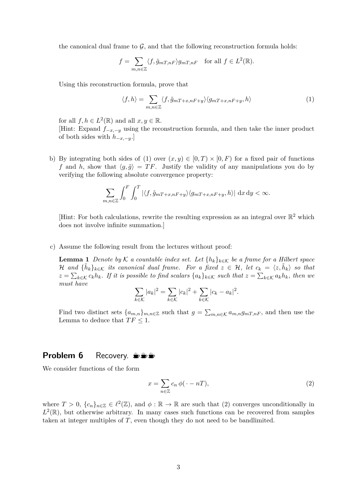the canonical dual frame to  $\mathcal{G}$ , and that the following reconstruction formula holds:

$$
f = \sum_{m,n \in \mathbb{Z}} \langle f, \tilde{g}_{mT,nF} \rangle g_{mT,nF} \quad \text{for all } f \in L^2(\mathbb{R}).
$$

Using this reconstruction formula, prove that

$$
\langle f, h \rangle = \sum_{m,n \in \mathbb{Z}} \langle f, \tilde{g}_{m} \rangle_{m} + x_{n} \langle g_{m} \rangle_{m} + x_{n} \langle h, h \rangle \tag{1}
$$

for all  $f, h \in L^2(\mathbb{R})$  and all  $x, y \in \mathbb{R}$ .

[Hint: Expand  $f_{-x,-y}$  using the reconstruction formula, and then take the inner product of both sides with *h*−*x,*−*y*.]

b) By integrating both sides of (1) over  $(x, y) \in [0, T) \times [0, F)$  for a fixed pair of functions *f* and *h*, show that  $\langle g, \tilde{g} \rangle = TF$ . Justify the validity of any manipulations you do by verifying the following absolute convergence property:

$$
\sum_{m,n\in\mathbb{Z}}\int_0^F\int_0^T\left|\langle f,\tilde{g}_{mT+x,nF+y}\rangle\langle g_{mT+x,nF+y},h\rangle\right|\,\mathrm{d}x\,\mathrm{d}y<\infty.
$$

[Hint: For both calculations, rewrite the resulting expression as an integral over  $\mathbb{R}^2$  which does not involve infinite summation.]

c) Assume the following result from the lectures without proof:

**Lemma 1** *Denote by* K *a countable index set. Let*  $\{h_k\}_{k\in\mathcal{K}}$  *be a frame for a Hilbert space*  $\mathcal{H}$  and  ${\{\tilde{h}_k\}_{k\in\mathcal{K}}}$  its canonical dual frame. For a fixed  $z \in \mathcal{H}$ , let  $c_k = \langle z, \tilde{h}_k \rangle$  so that  $z = \sum_{k \in \mathcal{K}} c_k h_k$ *. If it is possible to find scalars*  $\{a_k\}_{k \in \mathcal{K}}$  such that  $z = \sum_{k \in \mathcal{K}} a_k h_k$ , then we *must have*

$$
\sum_{k \in \mathcal{K}} |a_k|^2 = \sum_{k \in \mathcal{K}} |c_k|^2 + \sum_{k \in \mathcal{K}} |c_k - a_k|^2.
$$

Find two distinct sets  $\{a_{m,n}\}_{m,n\in\mathbb{Z}}$  such that  $g = \sum_{m,n\in\mathcal{K}} a_{m,n} g_{m,n} g_{m,n}$ , and then use the Lemma to deduce that  $TF \leq 1$ .

#### **Problem 6** Recovery. **Solution**

We consider functions of the form

$$
x = \sum_{n \in \mathbb{Z}} c_n \phi(\cdot - n), \tag{2}
$$

where  $T > 0$ ,  $\{c_n\}_{n \in \mathbb{Z}} \in \ell^2(\mathbb{Z})$ , and  $\phi : \mathbb{R} \to \mathbb{R}$  are such that (2) converges unconditionally in  $L^2(\mathbb{R})$ , but otherwise arbitrary. In many cases such functions can be recovered from samples taken at integer multiples of *T*, even though they do not need to be bandlimited.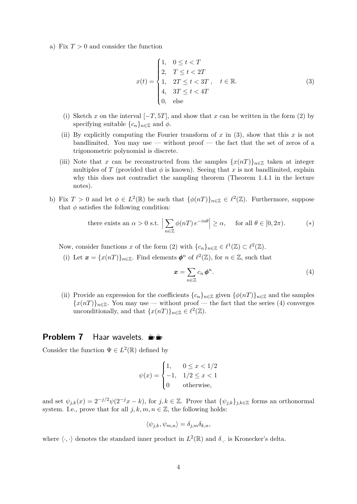a) Fix  $T > 0$  and consider the function

$$
x(t) = \begin{cases} 1, & 0 \le t < T \\ 2, & T \le t < 2T \\ 1, & 2T \le t < 3T \\ 4, & 3T \le t < 4T \\ 0, & \text{else} \end{cases} \quad t \in \mathbb{R}.
$$
 (3)

- (i) Sketch *x* on the interval  $[-T, 5T]$ , and show that *x* can be written in the form (2) by specifying suitable  $\{c_n\}_{n\in\mathbb{Z}}$  and  $\phi$ .
- (ii) By explicitly computing the Fourier transform of  $x$  in (3), show that this  $x$  is not bandlimited. You may use — without proof — the fact that the set of zeros of a trigonometric polynomial is discrete.
- (iii) Note that *x* can be reconstructed from the samples  $\{x(nT)\}_{n\in\mathbb{Z}}$  taken at integer multiples of *T* (provided that  $\phi$  is known). Seeing that *x* is not bandlimited, explain why this does not contradict the sampling theorem (Theorem 1.4.1 in the lecture notes).
- b) Fix  $T > 0$  and let  $\phi \in L^2(\mathbb{R})$  be such that  $\{\phi(nT)\}_{n \in \mathbb{Z}} \in \ell^2(\mathbb{Z})$ . Furthermore, suppose that  $\phi$  satisfies the following condition:

there exists an 
$$
\alpha > 0
$$
 s.t.  $\left| \sum_{n \in \mathbb{Z}} \phi(nT) e^{-in\theta} \right| \ge \alpha$ , for all  $\theta \in [0, 2\pi)$ . (\*)

Now, consider functions *x* of the form (2) with  $\{c_n\}_{n\in\mathbb{Z}} \in \ell^1(\mathbb{Z}) \subset \ell^2(\mathbb{Z})$ .

(i) Let  $\mathbf{x} = \{x(n) \}_{n \in \mathbb{Z}}$ . Find elements  $\phi^n$  of  $\ell^2(\mathbb{Z})$ , for  $n \in \mathbb{Z}$ , such that

$$
x = \sum_{n \in \mathbb{Z}} c_n \phi^n.
$$
 (4)

(ii) Provide an expression for the coefficients  $\{c_n\}_{n\in\mathbb{Z}}$  given  $\{\phi(nT)\}_{n\in\mathbb{Z}}$  and the samples  ${x(n)}_{n\in\mathbb{Z}}$ . You may use — without proof — the fact that the series (4) converges unconditionally, and that  $\{x(nT)\}_{n\in\mathbb{Z}} \in \ell^2(\mathbb{Z})$ .

## **Problem 7** Haar wavelets.  $\frac{w}{x}$

Consider the function  $\Psi \in L^2(\mathbb{R})$  defined by

$$
\psi(x) = \begin{cases} 1, & 0 \le x < 1/2 \\ -1, & 1/2 \le x < 1 \\ 0 & \text{otherwise,} \end{cases}
$$

and set  $\psi_{j,k}(x) = 2^{-j/2}\psi(2^{-j}x - k)$ , for  $j, k \in \mathbb{Z}$ . Prove that  $\{\psi_{j,k}\}_{j,k \in \mathbb{Z}}$  forms an orthonormal system. I.e., prove that for all  $j, k, m, n \in \mathbb{Z}$ , the following holds:

$$
\langle \psi_{j,k}, \psi_{m,n} \rangle = \delta_{j,m} \delta_{k,n},
$$

where  $\langle \cdot, \cdot \rangle$  denotes the standard inner product in  $L^2(\mathbb{R})$  and  $\delta_{\cdot,\cdot}$  is Kronecker's delta.